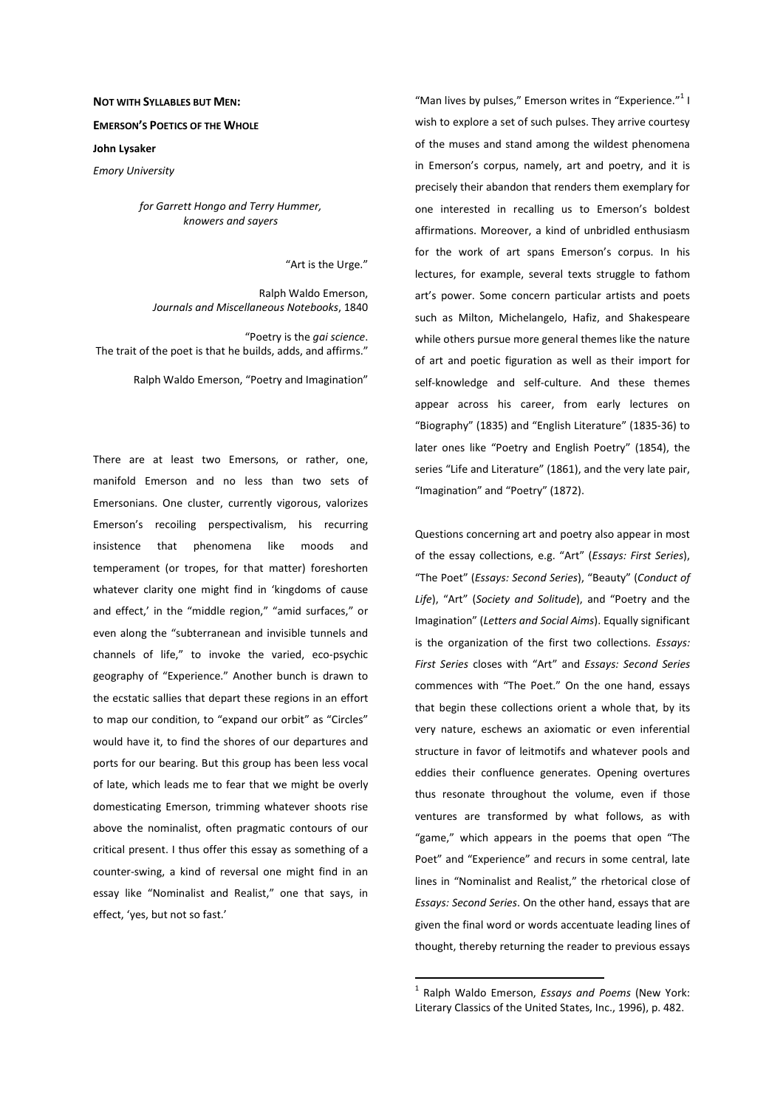## **NOT WITH SYLLABLES BUT MEN:**

## **EMERSON'S POETICS OF THE WHOLE**

**John Lysaker** 

*Emory University* 

*for Garrett Hongo and Terry Hummer, knowers and sayers* 

"Art is the Urge."

Ralph Waldo Emerson, *Journals and Miscellaneous Notebooks*, 1840

"Poetry is the *gai science*. The trait of the poet is that he builds, adds, and affirms."

Ralph Waldo Emerson, "Poetry and Imagination"

There are at least two Emersons, or rather, one, manifold Emerson and no less than two sets of Emersonians. One cluster, currently vigorous, valorizes Emerson's recoiling perspectivalism, his recurring insistence that phenomena like moods and temperament (or tropes, for that matter) foreshorten whatever clarity one might find in 'kingdoms of cause and effect,' in the "middle region," "amid surfaces," or even along the "subterranean and invisible tunnels and channels of life," to invoke the varied, eco-psychic geography of "Experience." Another bunch is drawn to the ecstatic sallies that depart these regions in an effort to map our condition, to "expand our orbit" as "Circles" would have it, to find the shores of our departures and ports for our bearing. But this group has been less vocal of late, which leads me to fear that we might be overly domesticating Emerson, trimming whatever shoots rise above the nominalist, often pragmatic contours of our critical present. I thus offer this essay as something of a counter-swing, a kind of reversal one might find in an essay like "Nominalist and Realist," one that says, in effect, 'yes, but not so fast.'

"Man lives by pulses," Emerson writes in "Experience." $1$ wish to explore a set of such pulses. They arrive courtesy of the muses and stand among the wildest phenomena in Emerson's corpus, namely, art and poetry, and it is precisely their abandon that renders them exemplary for one interested in recalling us to Emerson's boldest affirmations. Moreover, a kind of unbridled enthusiasm for the work of art spans Emerson's corpus. In his lectures, for example, several texts struggle to fathom art's power. Some concern particular artists and poets such as Milton, Michelangelo, Hafiz, and Shakespeare while others pursue more general themes like the nature of art and poetic figuration as well as their import for self-knowledge and self-culture. And these themes appear across his career, from early lectures on "Biography" (1835) and "English Literature" (1835-36) to later ones like "Poetry and English Poetry" (1854), the series "Life and Literature" (1861), and the very late pair, "Imagination" and "Poetry" (1872).

Questions concerning art and poetry also appear in most of the essay collections, e.g. "Art" (*Essays: First Series*), "The Poet" (*Essays: Second Series*), "Beauty" (*Conduct of Life*), "Art" (*Society and Solitude*), and "Poetry and the Imagination" (*Letters and Social Aims*). Equally significant is the organization of the first two collections. *Essays: First Series* closes with "Art" and *Essays: Second Series* commences with "The Poet." On the one hand, essays that begin these collections orient a whole that, by its very nature, eschews an axiomatic or even inferential structure in favor of leitmotifs and whatever pools and eddies their confluence generates. Opening overtures thus resonate throughout the volume, even if those ventures are transformed by what follows, as with "game," which appears in the poems that open "The Poet" and "Experience" and recurs in some central, late lines in "Nominalist and Realist," the rhetorical close of *Essays: Second Series*. On the other hand, essays that are given the final word or words accentuate leading lines of thought, thereby returning the reader to previous essays

<sup>1</sup> Ralph Waldo Emerson, *Essays and Poems* (New York: Literary Classics of the United States, Inc., 1996), p. 482.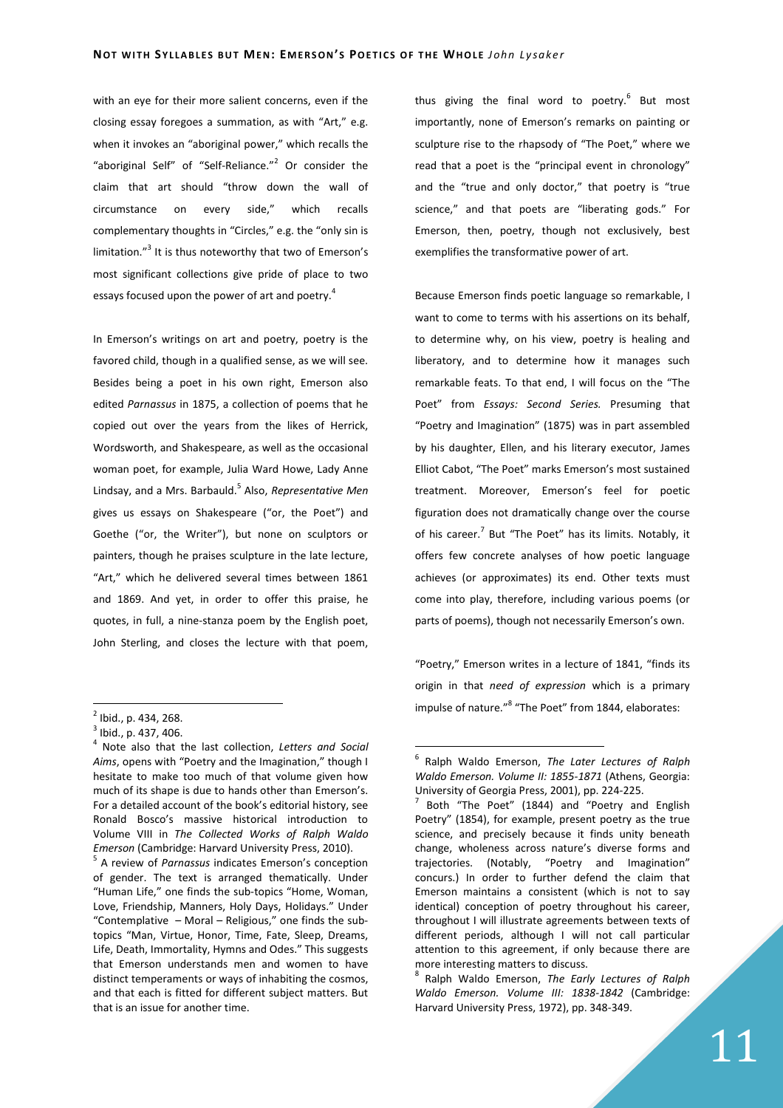with an eye for their more salient concerns, even if the closing essay foregoes a summation, as with "Art," e.g. when it invokes an "aboriginal power," which recalls the "aboriginal Self" of "Self-Reliance."<sup>2</sup> Or consider the claim that art should "throw down the wall of circumstance on every side," which recalls complementary thoughts in "Circles," e.g. the "only sin is limitation."<sup>3</sup> It is thus noteworthy that two of Emerson's most significant collections give pride of place to two essays focused upon the power of art and poetry.<sup>4</sup>

In Emerson's writings on art and poetry, poetry is the favored child, though in a qualified sense, as we will see. Besides being a poet in his own right, Emerson also edited *Parnassus* in 1875, a collection of poems that he copied out over the years from the likes of Herrick, Wordsworth, and Shakespeare, as well as the occasional woman poet, for example, Julia Ward Howe, Lady Anne Lindsay, and a Mrs. Barbauld.<sup>5</sup> Also, *Representative Men* gives us essays on Shakespeare ("or, the Poet") and Goethe ("or, the Writer"), but none on sculptors or painters, though he praises sculpture in the late lecture, "Art," which he delivered several times between 1861 and 1869. And yet, in order to offer this praise, he quotes, in full, a nine-stanza poem by the English poet, John Sterling, and closes the lecture with that poem,

 $\overline{a}$ 

5 A review of *Parnassus* indicates Emerson's conception of gender. The text is arranged thematically. Under "Human Life," one finds the sub-topics "Home, Woman, Love, Friendship, Manners, Holy Days, Holidays." Under "Contemplative – Moral – Religious," one finds the subtopics "Man, Virtue, Honor, Time, Fate, Sleep, Dreams, Life, Death, Immortality, Hymns and Odes." This suggests that Emerson understands men and women to have distinct temperaments or ways of inhabiting the cosmos, and that each is fitted for different subject matters. But that is an issue for another time.

thus giving the final word to poetry.<sup>6</sup> But most importantly, none of Emerson's remarks on painting or sculpture rise to the rhapsody of "The Poet," where we read that a poet is the "principal event in chronology" and the "true and only doctor," that poetry is "true science," and that poets are "liberating gods." For Emerson, then, poetry, though not exclusively, best exemplifies the transformative power of art.

Because Emerson finds poetic language so remarkable, I want to come to terms with his assertions on its behalf, to determine why, on his view, poetry is healing and liberatory, and to determine how it manages such remarkable feats. To that end, I will focus on the "The Poet" from *Essays: Second Series.* Presuming that "Poetry and Imagination" (1875) was in part assembled by his daughter, Ellen, and his literary executor, James Elliot Cabot, "The Poet" marks Emerson's most sustained treatment. Moreover, Emerson's feel for poetic figuration does not dramatically change over the course of his career.<sup>7</sup> But "The Poet" has its limits. Notably, it offers few concrete analyses of how poetic language achieves (or approximates) its end. Other texts must come into play, therefore, including various poems (or parts of poems), though not necessarily Emerson's own.

"Poetry," Emerson writes in a lecture of 1841, "finds its origin in that *need of expression* which is a primary impulse of nature."<sup>8</sup> "The Poet" from 1844, elaborates:

 $\overline{a}$ 

8 Ralph Waldo Emerson, *The Early Lectures of Ralph Waldo Emerson. Volume III: 1838-1842* (Cambridge: Harvard University Press, 1972), pp. 348-349.

<sup>&</sup>lt;sup>2</sup> Ibid., p. 434, 268.

<sup>&</sup>lt;sup>3</sup> Ibid., p. 437, 406.

<sup>4</sup> Note also that the last collection, *Letters and Social Aims*, opens with "Poetry and the Imagination," though I hesitate to make too much of that volume given how much of its shape is due to hands other than Emerson's. For a detailed account of the book's editorial history, see Ronald Bosco's massive historical introduction to Volume VIII in *The Collected Works of Ralph Waldo Emerson* (Cambridge: Harvard University Press, 2010).

<sup>6</sup> Ralph Waldo Emerson, *The Later Lectures of Ralph Waldo Emerson. Volume II: 1855-1871* (Athens, Georgia: University of Georgia Press, 2001), pp. 224-225.

<sup>7</sup> Both "The Poet" (1844) and "Poetry and English Poetry" (1854), for example, present poetry as the true science, and precisely because it finds unity beneath change, wholeness across nature's diverse forms and trajectories. (Notably, "Poetry and Imagination" concurs.) In order to further defend the claim that Emerson maintains a consistent (which is not to say identical) conception of poetry throughout his career, throughout I will illustrate agreements between texts of different periods, although I will not call particular attention to this agreement, if only because there are more interesting matters to discuss.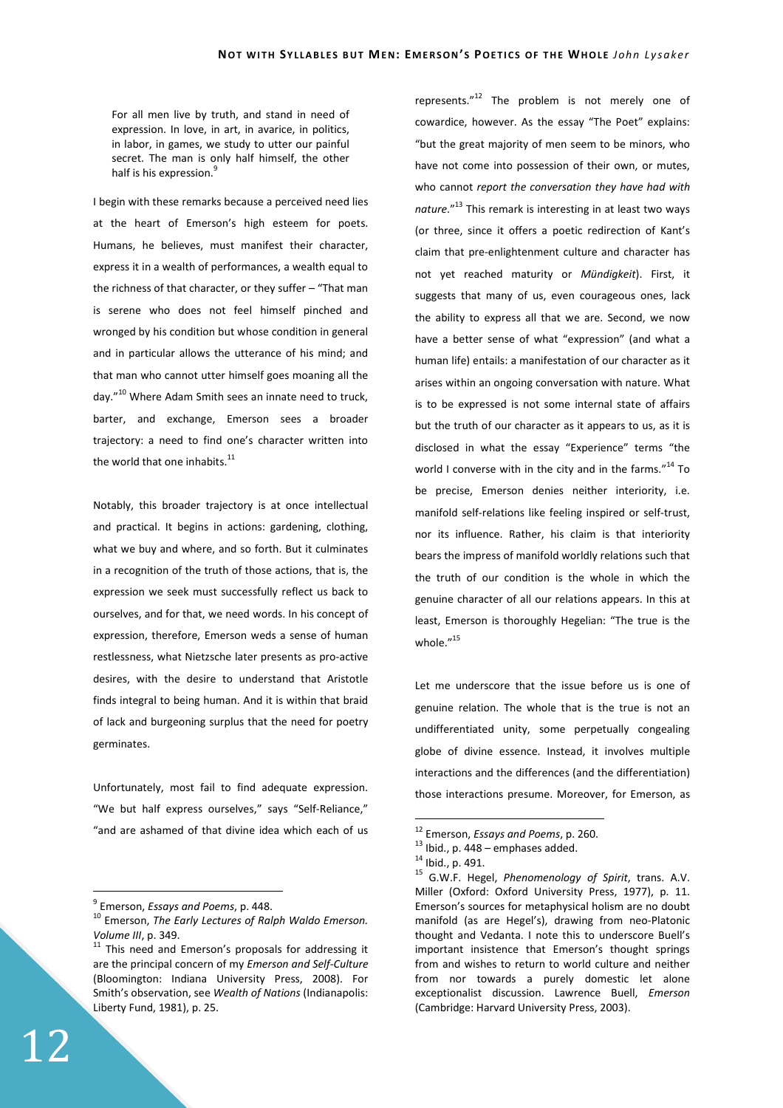For all men live by truth, and stand in need of expression. In love, in art, in avarice, in politics, in labor, in games, we study to utter our painful secret. The man is only half himself, the other half is his expression.<sup>9</sup>

I begin with these remarks because a perceived need lies at the heart of Emerson's high esteem for poets. Humans, he believes, must manifest their character, express it in a wealth of performances, a wealth equal to the richness of that character, or they suffer – "That man is serene who does not feel himself pinched and wronged by his condition but whose condition in general and in particular allows the utterance of his mind; and that man who cannot utter himself goes moaning all the day."<sup>10</sup> Where Adam Smith sees an innate need to truck, barter, and exchange, Emerson sees a broader trajectory: a need to find one's character written into the world that one inhabits.<sup>11</sup>

Notably, this broader trajectory is at once intellectual and practical. It begins in actions: gardening, clothing, what we buy and where, and so forth. But it culminates in a recognition of the truth of those actions, that is, the expression we seek must successfully reflect us back to ourselves, and for that, we need words. In his concept of expression, therefore, Emerson weds a sense of human restlessness, what Nietzsche later presents as pro-active desires, with the desire to understand that Aristotle finds integral to being human. And it is within that braid of lack and burgeoning surplus that the need for poetry germinates.

Unfortunately, most fail to find adequate expression. "We but half express ourselves," says "Self-Reliance," "and are ashamed of that divine idea which each of us

9 Emerson, *Essays and Poems*, p. 448.

represents. $12$ <sup>12</sup> The problem is not merely one of cowardice, however. As the essay "The Poet" explains: "but the great majority of men seem to be minors, who have not come into possession of their own, or mutes, who cannot *report the conversation they have had with nature*."<sup>13</sup> This remark is interesting in at least two ways (or three, since it offers a poetic redirection of Kant's claim that pre-enlightenment culture and character has not yet reached maturity or *Mündigkeit*). First, it suggests that many of us, even courageous ones, lack the ability to express all that we are. Second, we now have a better sense of what "expression" (and what a human life) entails: a manifestation of our character as it arises within an ongoing conversation with nature. What is to be expressed is not some internal state of affairs but the truth of our character as it appears to us, as it is disclosed in what the essay "Experience" terms "the world I converse with in the city and in the farms."<sup>14</sup> To be precise, Emerson denies neither interiority, i.e. manifold self-relations like feeling inspired or self-trust, nor its influence. Rather, his claim is that interiority bears the impress of manifold worldly relations such that the truth of our condition is the whole in which the genuine character of all our relations appears. In this at least, Emerson is thoroughly Hegelian: "The true is the whole. $''^{15}$ 

Let me underscore that the issue before us is one of genuine relation. The whole that is the true is not an undifferentiated unity, some perpetually congealing globe of divine essence. Instead, it involves multiple interactions and the differences (and the differentiation) those interactions presume. Moreover, for Emerson, as

 $\overline{a}$ 

<sup>10</sup> Emerson, *The Early Lectures of Ralph Waldo Emerson. Volume III*, p. 349.

<sup>&</sup>lt;sup>11</sup> This need and Emerson's proposals for addressing it are the principal concern of my *Emerson and Self-Culture* (Bloomington: Indiana University Press, 2008). For Smith's observation, see *Wealth of Nations* (Indianapolis: Liberty Fund, 1981), p. 25.

<sup>12</sup> Emerson, *Essays and Poems*, p. 260.

 $^{13}$  Ibid., p. 448 – emphases added.

<sup>14</sup> Ibid., p. 491.

<sup>15</sup> G.W.F. Hegel, *Phenomenology of Spirit*, trans. A.V. Miller (Oxford: Oxford University Press, 1977), p. 11. Emerson's sources for metaphysical holism are no doubt manifold (as are Hegel's), drawing from neo-Platonic thought and Vedanta. I note this to underscore Buell's important insistence that Emerson's thought springs from and wishes to return to world culture and neither from nor towards a purely domestic let alone exceptionalist discussion. Lawrence Buell, *Emerson* (Cambridge: Harvard University Press, 2003).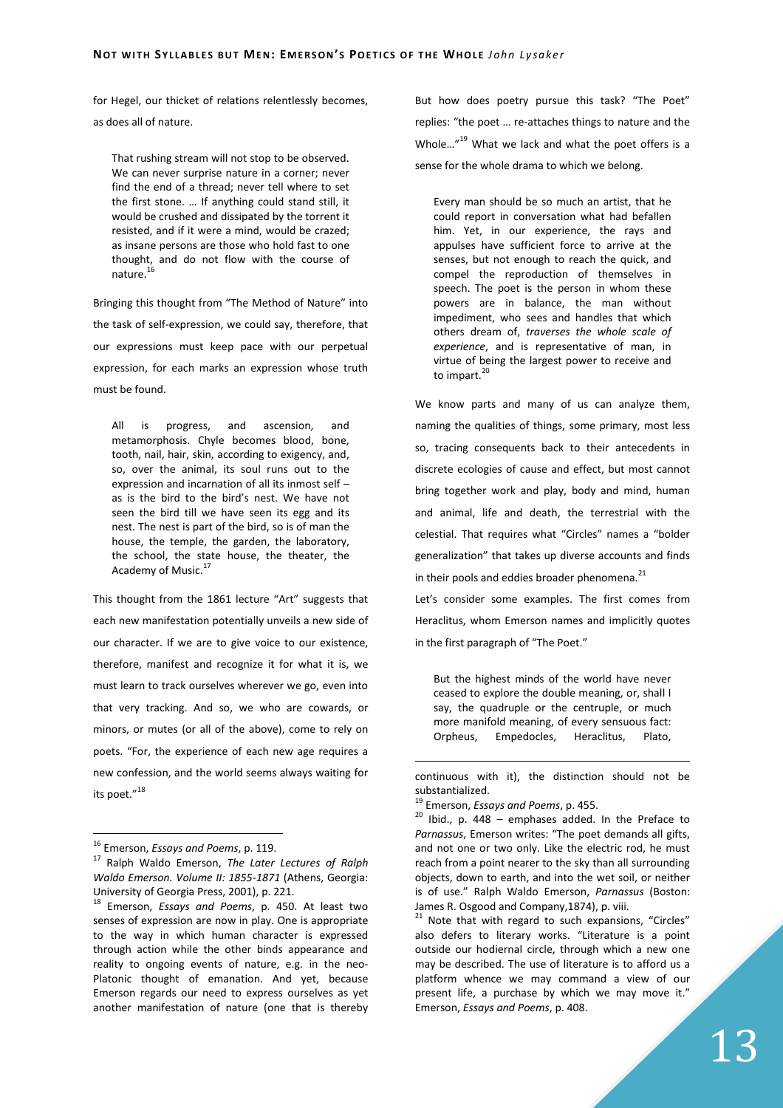for Hegel, our thicket of relations relentlessly becomes, as does all of nature.

That rushing stream will not stop to be observed. We can never surprise nature in a corner; never find the end of a thread; never tell where to set the first stone. … If anything could stand still, it would be crushed and dissipated by the torrent it resisted, and if it were a mind, would be crazed; as insane persons are those who hold fast to one thought, and do not flow with the course of nature. $1$ 

Bringing this thought from "The Method of Nature" into the task of self-expression, we could say, therefore, that our expressions must keep pace with our perpetual expression, for each marks an expression whose truth must be found.

All is progress, and ascension, and metamorphosis. Chyle becomes blood, bone, tooth, nail, hair, skin, according to exigency, and, so, over the animal, its soul runs out to the expression and incarnation of all its inmost self – as is the bird to the bird's nest. We have not seen the bird till we have seen its egg and its nest. The nest is part of the bird, so is of man the house, the temple, the garden, the laboratory, the school, the state house, the theater, the Academy of Music.<sup>17</sup>

This thought from the 1861 lecture "Art" suggests that each new manifestation potentially unveils a new side of our character. If we are to give voice to our existence, therefore, manifest and recognize it for what it is, we must learn to track ourselves wherever we go, even into that very tracking. And so, we who are cowards, or minors, or mutes (or all of the above), come to rely on poets. "For, the experience of each new age requires a new confession, and the world seems always waiting for its poet."<sup>18</sup>

 $\overline{a}$ 

But how does poetry pursue this task? "The Poet" replies: "the poet … re-attaches things to nature and the Whole..."<sup>19</sup> What we lack and what the poet offers is a sense for the whole drama to which we belong.

Every man should be so much an artist, that he could report in conversation what had befallen him. Yet, in our experience, the rays and appulses have sufficient force to arrive at the senses, but not enough to reach the quick, and compel the reproduction of themselves in speech. The poet is the person in whom these powers are in balance, the man without impediment, who sees and handles that which others dream of, *traverses the whole scale of experience*, and is representative of man, in virtue of being the largest power to receive and to impart.<sup>20</sup>

We know parts and many of us can analyze them, naming the qualities of things, some primary, most less so, tracing consequents back to their antecedents in discrete ecologies of cause and effect, but most cannot bring together work and play, body and mind, human and animal, life and death, the terrestrial with the celestial. That requires what "Circles" names a "bolder generalization" that takes up diverse accounts and finds in their pools and eddies broader phenomena. $^{21}$ 

Let's consider some examples. The first comes from Heraclitus, whom Emerson names and implicitly quotes in the first paragraph of "The Poet."

But the highest minds of the world have never ceased to explore the double meaning, or, shall I say, the quadruple or the centruple, or much more manifold meaning, of every sensuous fact: Orpheus, Empedocles, Heraclitus, Plato,

<sup>16</sup> Emerson, *Essays and Poems*, p. 119.

<sup>17</sup> Ralph Waldo Emerson, *The Later Lectures of Ralph Waldo Emerson. Volume II: 1855-1871* (Athens, Georgia: University of Georgia Press, 2001), p. 221.

<sup>18</sup> Emerson, *Essays and Poems*, p. 450. At least two senses of expression are now in play. One is appropriate to the way in which human character is expressed through action while the other binds appearance and reality to ongoing events of nature, e.g. in the neo-Platonic thought of emanation. And yet, because Emerson regards our need to express ourselves as yet another manifestation of nature (one that is thereby

continuous with it), the distinction should not be substantialized.

<sup>19</sup> Emerson, *Essays and Poems*, p. 455.

 $20$  Ibid., p. 448 – emphases added. In the Preface to *Parnassus*, Emerson writes: "The poet demands all gifts, and not one or two only. Like the electric rod, he must reach from a point nearer to the sky than all surrounding objects, down to earth, and into the wet soil, or neither is of use." Ralph Waldo Emerson, *Parnassus* (Boston: James R. Osgood and Company,1874), p. viii.

<sup>&</sup>lt;sup>21</sup> Note that with regard to such expansions, "Circles" also defers to literary works. "Literature is a point outside our hodiernal circle, through which a new one may be described. The use of literature is to afford us a platform whence we may command a view of our present life, a purchase by which we may move it." Emerson, *Essays and Poems*, p. 408.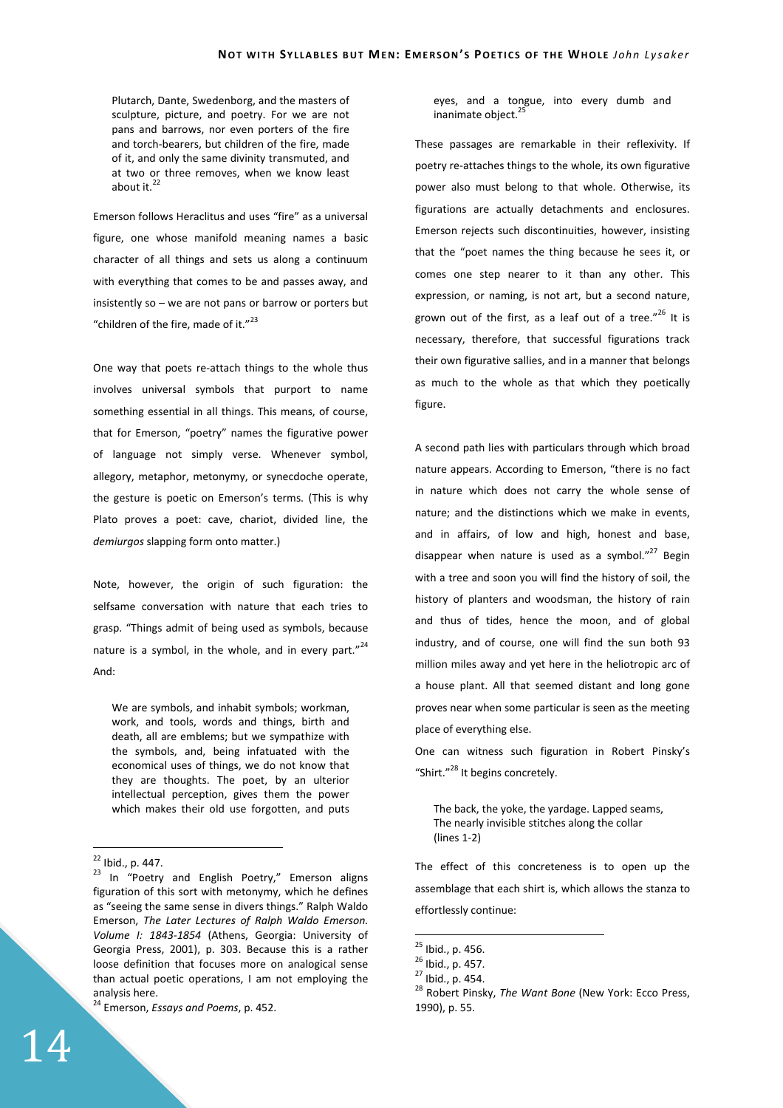Plutarch, Dante, Swedenborg, and the masters of sculpture, picture, and poetry. For we are not pans and barrows, nor even porters of the fire and torch-bearers, but children of the fire, made of it, and only the same divinity transmuted, and at two or three removes, when we know least about it. $^{22}$ 

Emerson follows Heraclitus and uses "fire" as a universal figure, one whose manifold meaning names a basic character of all things and sets us along a continuum with everything that comes to be and passes away, and insistently so – we are not pans or barrow or porters but "children of the fire, made of it."<sup>23</sup>

One way that poets re-attach things to the whole thus involves universal symbols that purport to name something essential in all things. This means, of course, that for Emerson, "poetry" names the figurative power of language not simply verse. Whenever symbol, allegory, metaphor, metonymy, or synecdoche operate, the gesture is poetic on Emerson's terms. (This is why Plato proves a poet: cave, chariot, divided line, the *demiurgos* slapping form onto matter.)

Note, however, the origin of such figuration: the selfsame conversation with nature that each tries to grasp. "Things admit of being used as symbols, because nature is a symbol, in the whole, and in every part." $24$ And:

We are symbols, and inhabit symbols; workman, work, and tools, words and things, birth and death, all are emblems; but we sympathize with the symbols, and, being infatuated with the economical uses of things, we do not know that they are thoughts. The poet, by an ulterior intellectual perception, gives them the power which makes their old use forgotten, and puts

 $\overline{a}$ 

<sup>24</sup> Emerson, *Essays and Poems*, p. 452.

eyes, and a tongue, into every dumb and inanimate object.<sup>2</sup>

These passages are remarkable in their reflexivity. If poetry re-attaches things to the whole, its own figurative power also must belong to that whole. Otherwise, its figurations are actually detachments and enclosures. Emerson rejects such discontinuities, however, insisting that the "poet names the thing because he sees it, or comes one step nearer to it than any other. This expression, or naming, is not art, but a second nature, grown out of the first, as a leaf out of a tree." $^{26}$  It is necessary, therefore, that successful figurations track their own figurative sallies, and in a manner that belongs as much to the whole as that which they poetically figure.

A second path lies with particulars through which broad nature appears. According to Emerson, "there is no fact in nature which does not carry the whole sense of nature; and the distinctions which we make in events, and in affairs, of low and high, honest and base, disappear when nature is used as a symbol. $v^{27}$  Begin with a tree and soon you will find the history of soil, the history of planters and woodsman, the history of rain and thus of tides, hence the moon, and of global industry, and of course, one will find the sun both 93 million miles away and yet here in the heliotropic arc of a house plant. All that seemed distant and long gone proves near when some particular is seen as the meeting place of everything else.

One can witness such figuration in Robert Pinsky's "Shirt."<sup>28</sup> It begins concretely.

The back, the yoke, the yardage. Lapped seams, The nearly invisible stitches along the collar (lines 1-2)

The effect of this concreteness is to open up the assemblage that each shirt is, which allows the stanza to effortlessly continue:

 $^{22}$  Ibid., p. 447.

<sup>&</sup>lt;sup>23</sup> In "Poetry and English Poetry," Emerson aligns figuration of this sort with metonymy, which he defines as "seeing the same sense in divers things." Ralph Waldo Emerson, *The Later Lectures of Ralph Waldo Emerson. Volume I: 1843-1854* (Athens, Georgia: University of Georgia Press, 2001), p. 303. Because this is a rather loose definition that focuses more on analogical sense than actual poetic operations, I am not employing the analysis here.

<sup>&</sup>lt;sup>25</sup> Ibid., p. 456.

<sup>26</sup> Ibid., p. 457.

<sup>27</sup> Ibid., p. 454.

<sup>28</sup> Robert Pinsky, *The Want Bone* (New York: Ecco Press, 1990), p. 55.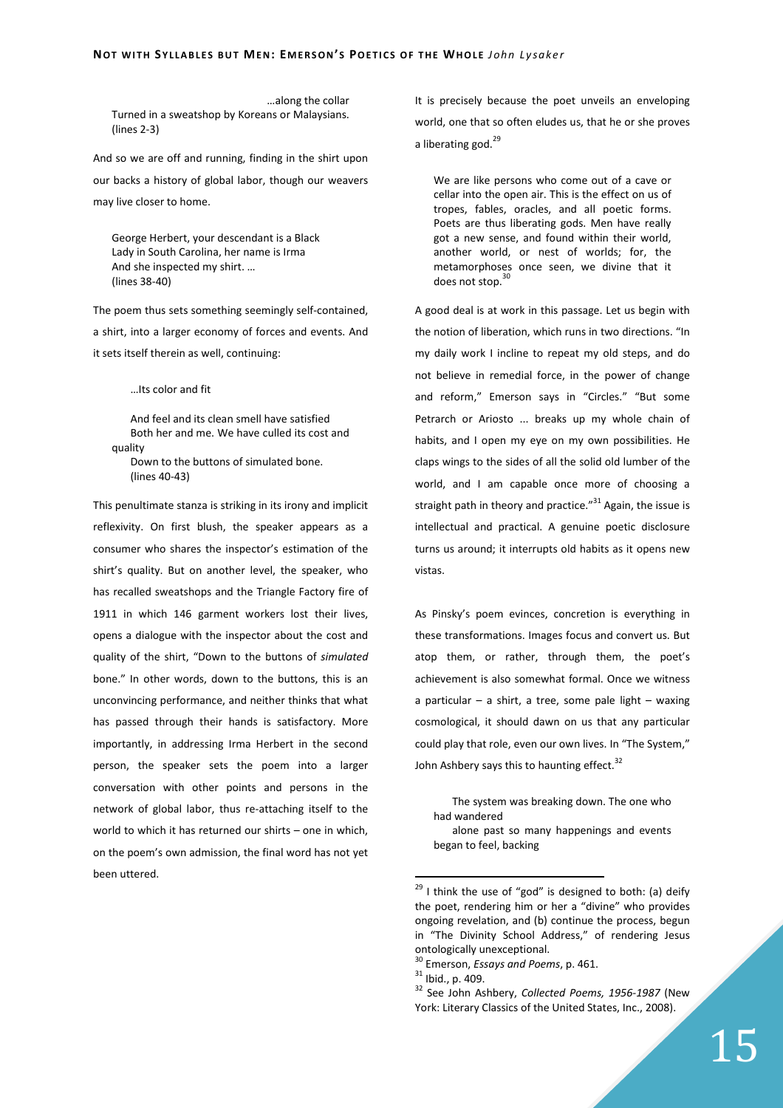…along the collar Turned in a sweatshop by Koreans or Malaysians. (lines 2-3)

And so we are off and running, finding in the shirt upon our backs a history of global labor, though our weavers may live closer to home.

George Herbert, your descendant is a Black Lady in South Carolina, her name is Irma And she inspected my shirt. … (lines 38-40)

The poem thus sets something seemingly self-contained, a shirt, into a larger economy of forces and events. And it sets itself therein as well, continuing:

…Its color and fit

And feel and its clean smell have satisfied Both her and me. We have culled its cost and quality Down to the buttons of simulated bone. (lines 40-43)

This penultimate stanza is striking in its irony and implicit reflexivity. On first blush, the speaker appears as a consumer who shares the inspector's estimation of the shirt's quality. But on another level, the speaker, who has recalled sweatshops and the Triangle Factory fire of 1911 in which 146 garment workers lost their lives, opens a dialogue with the inspector about the cost and quality of the shirt, "Down to the buttons of *simulated* bone." In other words, down to the buttons, this is an unconvincing performance, and neither thinks that what has passed through their hands is satisfactory. More importantly, in addressing Irma Herbert in the second person, the speaker sets the poem into a larger conversation with other points and persons in the network of global labor, thus re-attaching itself to the world to which it has returned our shirts – one in which, on the poem's own admission, the final word has not yet been uttered.

It is precisely because the poet unveils an enveloping world, one that so often eludes us, that he or she proves a liberating god.<sup>29</sup>

We are like persons who come out of a cave or cellar into the open air. This is the effect on us of tropes, fables, oracles, and all poetic forms. Poets are thus liberating gods. Men have really got a new sense, and found within their world, another world, or nest of worlds; for, the metamorphoses once seen, we divine that it does not stop.<sup>30</sup>

A good deal is at work in this passage. Let us begin with the notion of liberation, which runs in two directions. "In my daily work I incline to repeat my old steps, and do not believe in remedial force, in the power of change and reform," Emerson says in "Circles." "But some Petrarch or Ariosto ... breaks up my whole chain of habits, and I open my eye on my own possibilities. He claps wings to the sides of all the solid old lumber of the world, and I am capable once more of choosing a straight path in theory and practice. $^{\prime\prime}$ <sup>31</sup> Again, the issue is intellectual and practical. A genuine poetic disclosure turns us around; it interrupts old habits as it opens new vistas.

As Pinsky's poem evinces, concretion is everything in these transformations. Images focus and convert us. But atop them, or rather, through them, the poet's achievement is also somewhat formal. Once we witness a particular – a shirt, a tree, some pale light – waxing cosmological, it should dawn on us that any particular could play that role, even our own lives. In "The System," John Ashbery says this to haunting effect.<sup>32</sup>

The system was breaking down. The one who had wandered

alone past so many happenings and events began to feel, backing

 $29$  I think the use of "god" is designed to both: (a) deify the poet, rendering him or her a "divine" who provides ongoing revelation, and (b) continue the process, begun in "The Divinity School Address," of rendering Jesus ontologically unexceptional.

<sup>30</sup> Emerson, *Essays and Poems*, p. 461.

 $31$  Ibid., p. 409.

<sup>32</sup> See John Ashbery, *Collected Poems, 1956-1987* (New York: Literary Classics of the United States, Inc., 2008).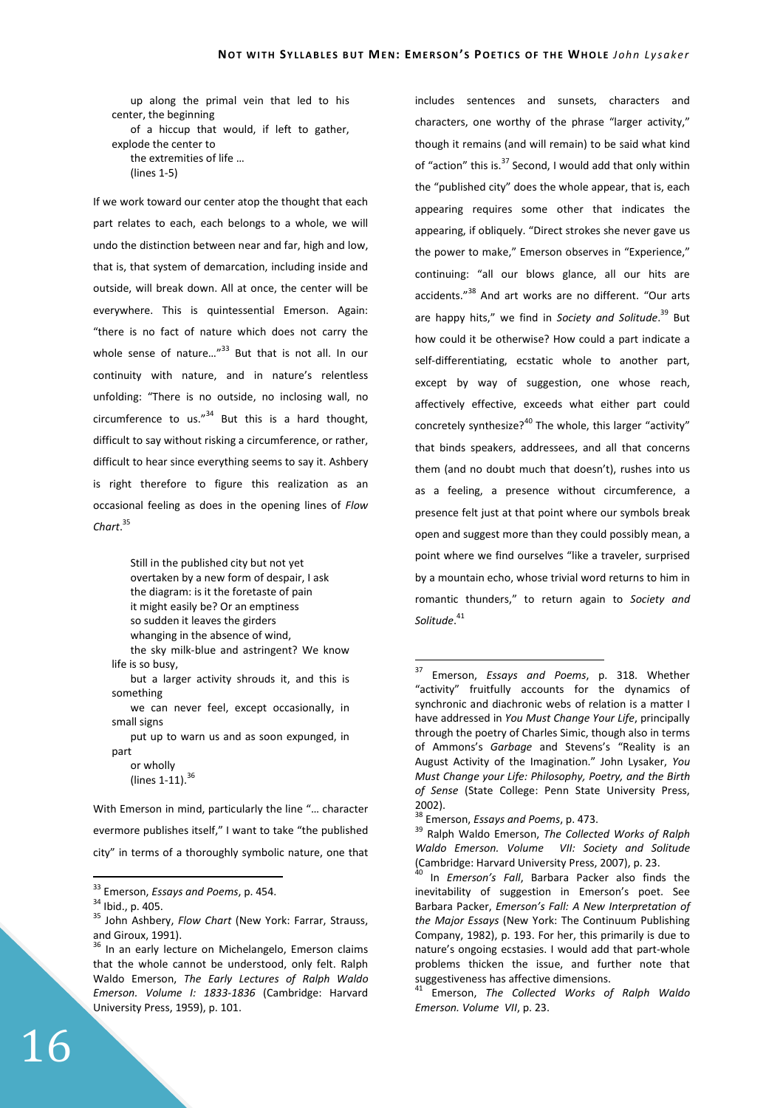up along the primal vein that led to his center, the beginning of a hiccup that would, if left to gather, explode the center to the extremities of life … (lines 1-5)

If we work toward our center atop the thought that each part relates to each, each belongs to a whole, we will undo the distinction between near and far, high and low, that is, that system of demarcation, including inside and outside, will break down. All at once, the center will be everywhere. This is quintessential Emerson. Again: "there is no fact of nature which does not carry the whole sense of nature... $n^{33}$  But that is not all. In our continuity with nature, and in nature's relentless unfolding: "There is no outside, no inclosing wall, no circumference to us." $34$  But this is a hard thought. difficult to say without risking a circumference, or rather, difficult to hear since everything seems to say it. Ashbery is right therefore to figure this realization as an occasional feeling as does in the opening lines of *Flow Chart*. 35

> Still in the published city but not yet overtaken by a new form of despair, I ask the diagram: is it the foretaste of pain it might easily be? Or an emptiness so sudden it leaves the girders whanging in the absence of wind, the sky milk-blue and astringent? We know

life is so busy,

but a larger activity shrouds it, and this is something

we can never feel, except occasionally, in small signs

put up to warn us and as soon expunged, in part

or wholly (lines  $1-11$ ).  $36$ 

With Emerson in mind, particularly the line "… character evermore publishes itself," I want to take "the published city" in terms of a thoroughly symbolic nature, one that

 $\overline{a}$ 

includes sentences and sunsets, characters and characters, one worthy of the phrase "larger activity," though it remains (and will remain) to be said what kind of "action" this is.<sup>37</sup> Second, I would add that only within the "published city" does the whole appear, that is, each appearing requires some other that indicates the appearing, if obliquely. "Direct strokes she never gave us the power to make," Emerson observes in "Experience," continuing: "all our blows glance, all our hits are accidents."<sup>38</sup> And art works are no different. "Our arts are happy hits," we find in *Society and Solitude*. <sup>39</sup> But how could it be otherwise? How could a part indicate a self-differentiating, ecstatic whole to another part, except by way of suggestion, one whose reach, affectively effective, exceeds what either part could concretely synthesize?<sup>40</sup> The whole, this larger "activity" that binds speakers, addressees, and all that concerns them (and no doubt much that doesn't), rushes into us as a feeling, a presence without circumference, a presence felt just at that point where our symbols break open and suggest more than they could possibly mean, a point where we find ourselves "like a traveler, surprised by a mountain echo, whose trivial word returns to him in romantic thunders," to return again to *Society and Solitude*. 41

<sup>33</sup> Emerson, *Essays and Poems*, p. 454.

 $34$  Ibid., p. 405.

<sup>35</sup> John Ashbery, *Flow Chart* (New York: Farrar, Strauss, and Giroux, 1991).

 $36$  In an early lecture on Michelangelo, Emerson claims that the whole cannot be understood, only felt. Ralph Waldo Emerson, *The Early Lectures of Ralph Waldo Emerson. Volume I: 1833-1836* (Cambridge: Harvard University Press, 1959), p. 101.

<sup>37</sup> Emerson, *Essays and Poems*, p. 318. Whether "activity" fruitfully accounts for the dynamics of synchronic and diachronic webs of relation is a matter I have addressed in *You Must Change Your Life*, principally through the poetry of Charles Simic, though also in terms of Ammons's *Garbage* and Stevens's "Reality is an August Activity of the Imagination." John Lysaker, *You Must Change your Life: Philosophy, Poetry, and the Birth of Sense* (State College: Penn State University Press, 2002).

<sup>38</sup> Emerson, *Essays and Poems*, p. 473.

<sup>39</sup> Ralph Waldo Emerson, *The Collected Works of Ralph Waldo Emerson. Volume VII: Society and Solitude*  (Cambridge: Harvard University Press, 2007), p. 23.

<sup>40</sup> In *Emerson's Fall*, Barbara Packer also finds the inevitability of suggestion in Emerson's poet. See Barbara Packer, *Emerson's Fall: A New Interpretation of the Major Essays* (New York: The Continuum Publishing Company, 1982), p. 193. For her, this primarily is due to nature's ongoing ecstasies. I would add that part-whole problems thicken the issue, and further note that suggestiveness has affective dimensions.

<sup>41</sup> Emerson, *The Collected Works of Ralph Waldo Emerson. Volume VII*, p. 23.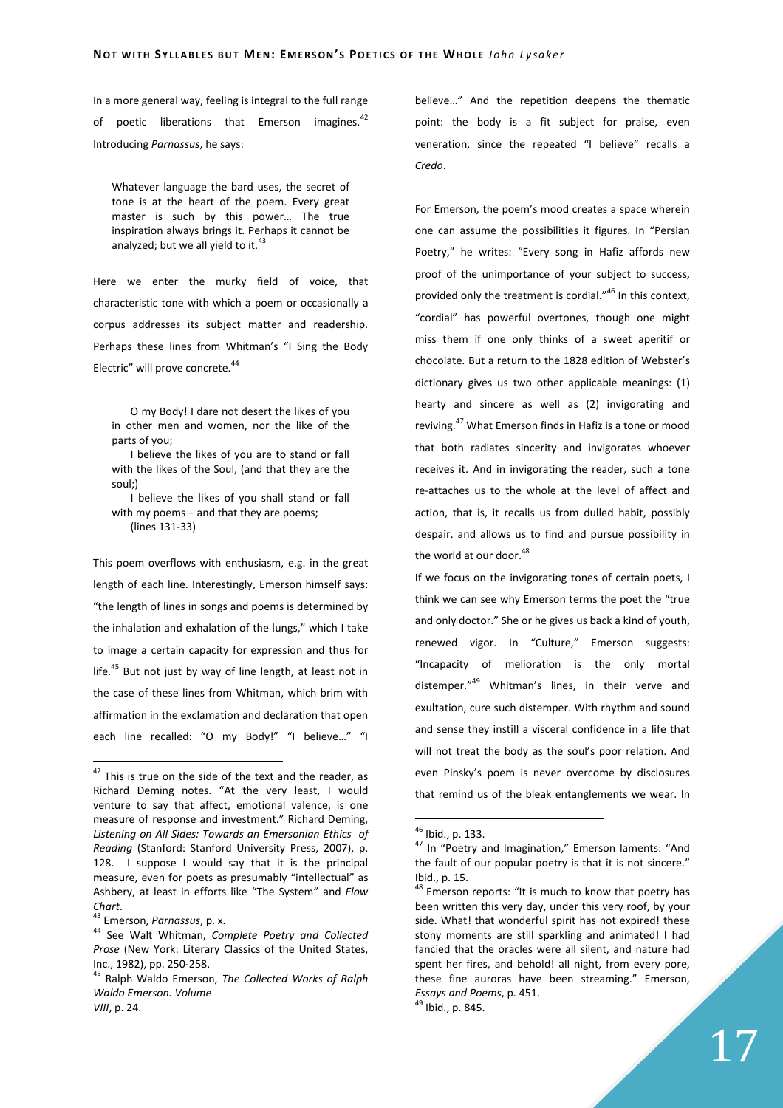In a more general way, feeling is integral to the full range of poetic liberations that Emerson imagines.<sup>42</sup> Introducing *Parnassus*, he says:

Whatever language the bard uses, the secret of tone is at the heart of the poem. Every great master is such by this power… The true inspiration always brings it. Perhaps it cannot be analyzed: but we all vield to it.<sup>4</sup>

Here we enter the murky field of voice, that characteristic tone with which a poem or occasionally a corpus addresses its subject matter and readership. Perhaps these lines from Whitman's "I Sing the Body Electric" will prove concrete.<sup>44</sup>

O my Body! I dare not desert the likes of you in other men and women, nor the like of the parts of you;

I believe the likes of you are to stand or fall with the likes of the Soul, (and that they are the soul;)

I believe the likes of you shall stand or fall with my poems – and that they are poems; (lines 131-33)

This poem overflows with enthusiasm, e.g. in the great length of each line. Interestingly, Emerson himself says: "the length of lines in songs and poems is determined by the inhalation and exhalation of the lungs," which I take to image a certain capacity for expression and thus for life.<sup>45</sup> But not just by way of line length, at least not in the case of these lines from Whitman, which brim with affirmation in the exclamation and declaration that open each line recalled: "O my Body!" "I believe..." "I

 $\overline{a}$ 

believe…" And the repetition deepens the thematic point: the body is a fit subject for praise, even veneration, since the repeated "I believe" recalls a *Credo*.

For Emerson, the poem's mood creates a space wherein one can assume the possibilities it figures. In "Persian Poetry," he writes: "Every song in Hafiz affords new proof of the unimportance of your subject to success, provided only the treatment is cordial."<sup>46</sup> In this context, "cordial" has powerful overtones, though one might miss them if one only thinks of a sweet aperitif or chocolate. But a return to the 1828 edition of Webster's dictionary gives us two other applicable meanings: (1) hearty and sincere as well as (2) invigorating and reviving.<sup>47</sup> What Emerson finds in Hafiz is a tone or mood that both radiates sincerity and invigorates whoever receives it. And in invigorating the reader, such a tone re-attaches us to the whole at the level of affect and action, that is, it recalls us from dulled habit, possibly despair, and allows us to find and pursue possibility in the world at our door.<sup>48</sup>

If we focus on the invigorating tones of certain poets, I think we can see why Emerson terms the poet the "true and only doctor." She or he gives us back a kind of youth, renewed vigor. In "Culture," Emerson suggests: "Incapacity of melioration is the only mortal distemper."<sup>49</sup> Whitman's lines, in their verve and exultation, cure such distemper. With rhythm and sound and sense they instill a visceral confidence in a life that will not treat the body as the soul's poor relation. And even Pinsky's poem is never overcome by disclosures that remind us of the bleak entanglements we wear. In

 $42$  This is true on the side of the text and the reader, as Richard Deming notes. "At the very least, I would venture to say that affect, emotional valence, is one measure of response and investment." Richard Deming, *Listening on All Sides: Towards an Emersonian Ethics of Reading* (Stanford: Stanford University Press, 2007), p. 128. I suppose I would say that it is the principal measure, even for poets as presumably "intellectual" as Ashbery, at least in efforts like "The System" and *Flow Chart*.

<sup>43</sup> Emerson, *Parnassus*, p. x.

<sup>44</sup> See Walt Whitman, *Complete Poetry and Collected Prose* (New York: Literary Classics of the United States, Inc., 1982), pp. 250-258.

<sup>45</sup> Ralph Waldo Emerson, *The Collected Works of Ralph Waldo Emerson. Volume* 

*VIII*, p. 24.

<sup>46</sup> Ibid., p. 133.

<sup>&</sup>lt;sup>47</sup> In "Poetry and Imagination," Emerson laments: "And the fault of our popular poetry is that it is not sincere." Ibid., p. 15.

<sup>&</sup>lt;sup>48</sup> Emerson reports: "It is much to know that poetry has been written this very day, under this very roof, by your side. What! that wonderful spirit has not expired! these stony moments are still sparkling and animated! I had fancied that the oracles were all silent, and nature had spent her fires, and behold! all night, from every pore, these fine auroras have been streaming." Emerson, *Essays and Poems*, p. 451. <sup>49</sup> Ibid., p. 845.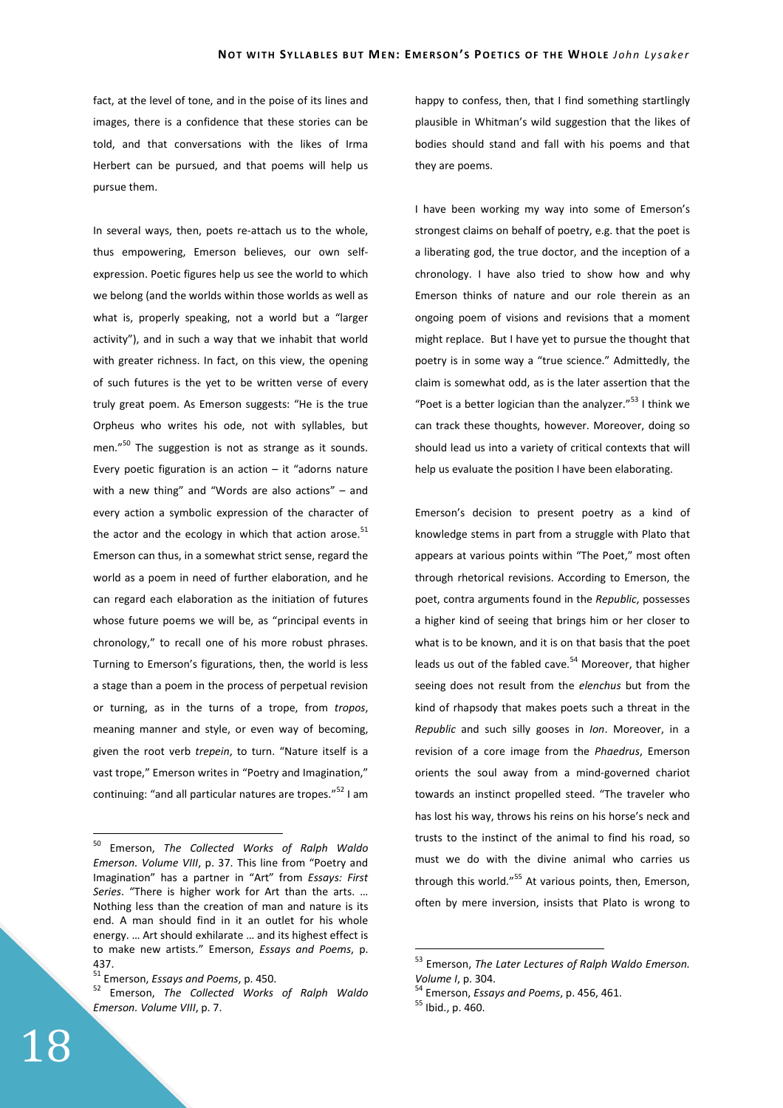fact, at the level of tone, and in the poise of its lines and images, there is a confidence that these stories can be told, and that conversations with the likes of Irma Herbert can be pursued, and that poems will help us pursue them.

In several ways, then, poets re-attach us to the whole, thus empowering, Emerson believes, our own selfexpression. Poetic figures help us see the world to which we belong (and the worlds within those worlds as well as what is, properly speaking, not a world but a "larger activity"), and in such a way that we inhabit that world with greater richness. In fact, on this view, the opening of such futures is the yet to be written verse of every truly great poem. As Emerson suggests: "He is the true Orpheus who writes his ode, not with syllables, but men."<sup>50</sup> The suggestion is not as strange as it sounds. Every poetic figuration is an action  $-$  it "adorns nature with a new thing" and "Words are also actions" – and every action a symbolic expression of the character of the actor and the ecology in which that action arose.<sup>51</sup> Emerson can thus, in a somewhat strict sense, regard the world as a poem in need of further elaboration, and he can regard each elaboration as the initiation of futures whose future poems we will be, as "principal events in chronology," to recall one of his more robust phrases. Turning to Emerson's figurations, then, the world is less a stage than a poem in the process of perpetual revision or turning, as in the turns of a trope, from *tropos*, meaning manner and style, or even way of becoming, given the root verb *trepein*, to turn. "Nature itself is a vast trope," Emerson writes in "Poetry and Imagination," continuing: "and all particular natures are tropes."<sup>52</sup> I am

happy to confess, then, that I find something startlingly plausible in Whitman's wild suggestion that the likes of bodies should stand and fall with his poems and that they are poems.

I have been working my way into some of Emerson's strongest claims on behalf of poetry, e.g. that the poet is a liberating god, the true doctor, and the inception of a chronology. I have also tried to show how and why Emerson thinks of nature and our role therein as an ongoing poem of visions and revisions that a moment might replace. But I have yet to pursue the thought that poetry is in some way a "true science." Admittedly, the claim is somewhat odd, as is the later assertion that the "Poet is a better logician than the analyzer."<sup>53</sup> I think we can track these thoughts, however. Moreover, doing so should lead us into a variety of critical contexts that will help us evaluate the position I have been elaborating.

Emerson's decision to present poetry as a kind of knowledge stems in part from a struggle with Plato that appears at various points within "The Poet," most often through rhetorical revisions. According to Emerson, the poet, contra arguments found in the *Republic*, possesses a higher kind of seeing that brings him or her closer to what is to be known, and it is on that basis that the poet leads us out of the fabled cave.<sup>54</sup> Moreover, that higher seeing does not result from the *elenchus* but from the kind of rhapsody that makes poets such a threat in the *Republic* and such silly gooses in *Ion*. Moreover, in a revision of a core image from the *Phaedrus*, Emerson orients the soul away from a mind-governed chariot towards an instinct propelled steed. "The traveler who has lost his way, throws his reins on his horse's neck and trusts to the instinct of the animal to find his road, so must we do with the divine animal who carries us through this world."<sup>55</sup> At various points, then, Emerson, often by mere inversion, insists that Plato is wrong to

 $\overline{a}$ 

<sup>50</sup> Emerson, *The Collected Works of Ralph Waldo Emerson. Volume VIII*, p. 37. This line from "Poetry and Imagination" has a partner in "Art" from *Essays: First Series*. "There is higher work for Art than the arts. … Nothing less than the creation of man and nature is its end. A man should find in it an outlet for his whole energy. … Art should exhilarate … and its highest effect is to make new artists." Emerson, *Essays and Poems*, p. 437.

<sup>51</sup> Emerson, *Essays and Poems*, p. 450.

<sup>52</sup> Emerson, *The Collected Works of Ralph Waldo Emerson. Volume VIII*, p. 7.

<sup>53</sup> Emerson, *The Later Lectures of Ralph Waldo Emerson. Volume I*, p. 304.

<sup>54</sup> Emerson, *Essays and Poems*, p. 456, 461.

<sup>55</sup> Ibid., p. 460.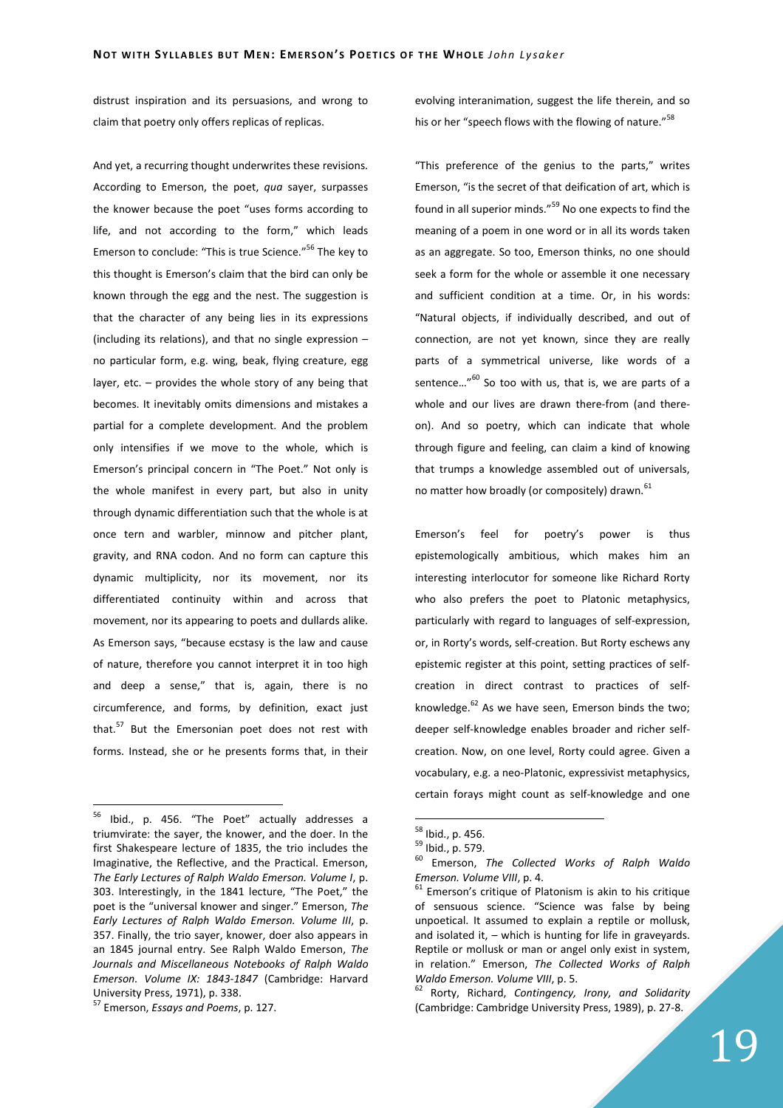distrust inspiration and its persuasions, and wrong to claim that poetry only offers replicas of replicas.

And yet, a recurring thought underwrites these revisions. According to Emerson, the poet, *qua* sayer, surpasses the knower because the poet "uses forms according to life, and not according to the form," which leads Emerson to conclude: "This is true Science."<sup>56</sup> The key to this thought is Emerson's claim that the bird can only be known through the egg and the nest. The suggestion is that the character of any being lies in its expressions (including its relations), and that no single expression – no particular form, e.g. wing, beak, flying creature, egg layer, etc. – provides the whole story of any being that becomes. It inevitably omits dimensions and mistakes a partial for a complete development. And the problem only intensifies if we move to the whole, which is Emerson's principal concern in "The Poet." Not only is the whole manifest in every part, but also in unity through dynamic differentiation such that the whole is at once tern and warbler, minnow and pitcher plant, gravity, and RNA codon. And no form can capture this dynamic multiplicity, nor its movement, nor its differentiated continuity within and across that movement, nor its appearing to poets and dullards alike. As Emerson says, "because ecstasy is the law and cause of nature, therefore you cannot interpret it in too high and deep a sense," that is, again, there is no circumference, and forms, by definition, exact just that.<sup>57</sup> But the Emersonian poet does not rest with forms. Instead, she or he presents forms that, in their

 $\overline{a}$ 

evolving interanimation, suggest the life therein, and so his or her "speech flows with the flowing of nature."<sup>58</sup>

"This preference of the genius to the parts," writes Emerson, "is the secret of that deification of art, which is found in all superior minds."<sup>59</sup> No one expects to find the meaning of a poem in one word or in all its words taken as an aggregate. So too, Emerson thinks, no one should seek a form for the whole or assemble it one necessary and sufficient condition at a time. Or, in his words: "Natural objects, if individually described, and out of connection, are not yet known, since they are really parts of a symmetrical universe, like words of a sentence..."<sup>60</sup> So too with us, that is, we are parts of a whole and our lives are drawn there-from (and thereon). And so poetry, which can indicate that whole through figure and feeling, can claim a kind of knowing that trumps a knowledge assembled out of universals, no matter how broadly (or compositely) drawn.<sup>61</sup>

Emerson's feel for poetry's power is thus epistemologically ambitious, which makes him an interesting interlocutor for someone like Richard Rorty who also prefers the poet to Platonic metaphysics. particularly with regard to languages of self-expression, or, in Rorty's words, self-creation. But Rorty eschews any epistemic register at this point, setting practices of selfcreation in direct contrast to practices of selfknowledge. $62$  As we have seen, Emerson binds the two; deeper self-knowledge enables broader and richer selfcreation. Now, on one level, Rorty could agree. Given a vocabulary, e.g. a neo-Platonic, expressivist metaphysics, certain forays might count as self-knowledge and one

 $\overline{a}$ 

<sup>62</sup> Rorty, Richard, *Contingency, Irony, and Solidarity* (Cambridge: Cambridge University Press, 1989), p. 27-8.

Ibid., p. 456. "The Poet" actually addresses a triumvirate: the sayer, the knower, and the doer. In the first Shakespeare lecture of 1835, the trio includes the Imaginative, the Reflective, and the Practical. Emerson, *The Early Lectures of Ralph Waldo Emerson. Volume I*, p. 303. Interestingly, in the 1841 lecture, "The Poet," the poet is the "universal knower and singer." Emerson, *The Early Lectures of Ralph Waldo Emerson. Volume III*, p. 357. Finally, the trio sayer, knower, doer also appears in an 1845 journal entry. See Ralph Waldo Emerson, *The Journals and Miscellaneous Notebooks of Ralph Waldo Emerson. Volume IX: 1843-1847* (Cambridge: Harvard University Press, 1971), p. 338.

<sup>57</sup> Emerson, *Essays and Poems*, p. 127.

<sup>&</sup>lt;sup>58</sup> Ibid., p. 456.

 $^{59}$  Ibid., p. 579.

<sup>60</sup> Emerson, *The Collected Works of Ralph Waldo Emerson. Volume VIII*, p. 4.

 $61$  Emerson's critique of Platonism is akin to his critique of sensuous science. "Science was false by being unpoetical. It assumed to explain a reptile or mollusk, and isolated it, – which is hunting for life in graveyards. Reptile or mollusk or man or angel only exist in system, in relation." Emerson, *The Collected Works of Ralph Waldo Emerson. Volume VIII*, p. 5.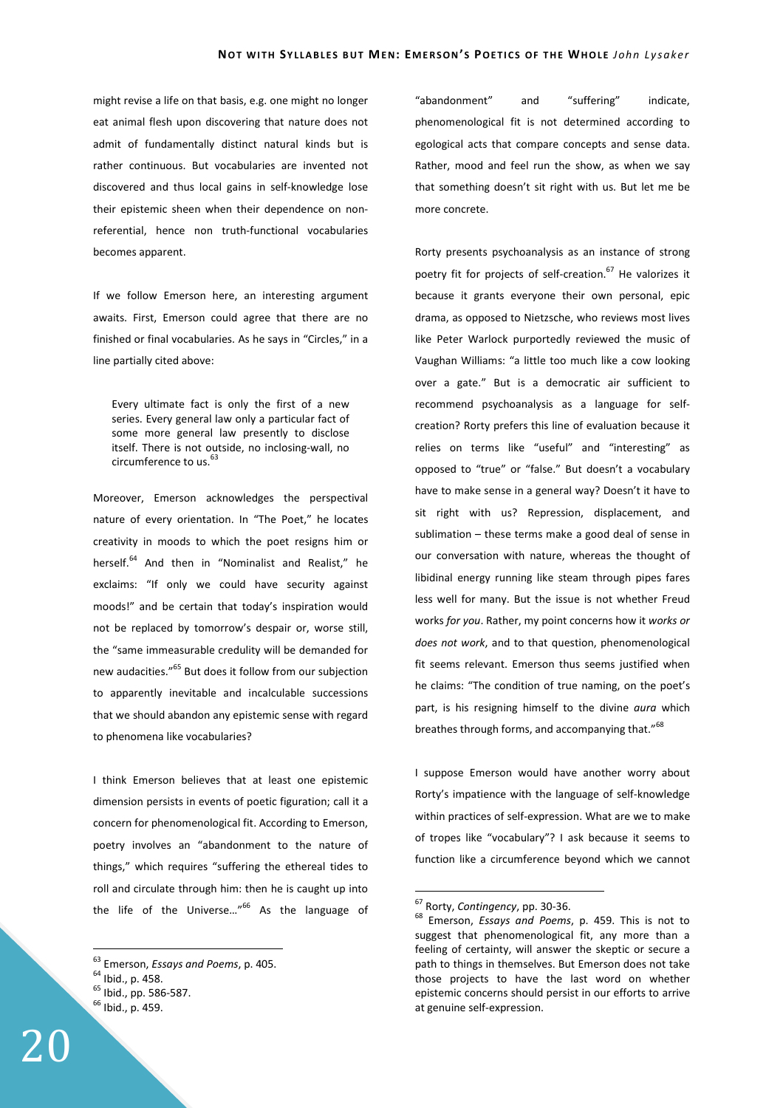might revise a life on that basis, e.g. one might no longer eat animal flesh upon discovering that nature does not admit of fundamentally distinct natural kinds but is rather continuous. But vocabularies are invented not discovered and thus local gains in self-knowledge lose their epistemic sheen when their dependence on nonreferential, hence non truth-functional vocabularies becomes apparent.

If we follow Emerson here, an interesting argument awaits. First, Emerson could agree that there are no finished or final vocabularies. As he says in "Circles," in a line partially cited above:

Every ultimate fact is only the first of a new series. Every general law only a particular fact of some more general law presently to disclose itself. There is not outside, no inclosing-wall, no circumference to us.<sup>63</sup>

Moreover, Emerson acknowledges the perspectival nature of every orientation. In "The Poet," he locates creativity in moods to which the poet resigns him or herself.<sup>64</sup> And then in "Nominalist and Realist," he exclaims: "If only we could have security against moods!" and be certain that today's inspiration would not be replaced by tomorrow's despair or, worse still, the "same immeasurable credulity will be demanded for new audacities."<sup>65</sup> But does it follow from our subjection to apparently inevitable and incalculable successions that we should abandon any epistemic sense with regard to phenomena like vocabularies?

I think Emerson believes that at least one epistemic dimension persists in events of poetic figuration; call it a concern for phenomenological fit. According to Emerson, poetry involves an "abandonment to the nature of things," which requires "suffering the ethereal tides to roll and circulate through him: then he is caught up into the life of the Universe..."<sup>66</sup> As the language of

 $\overline{a}$ 

"abandonment" and "suffering" indicate, phenomenological fit is not determined according to egological acts that compare concepts and sense data. Rather, mood and feel run the show, as when we say that something doesn't sit right with us. But let me be more concrete.

Rorty presents psychoanalysis as an instance of strong poetry fit for projects of self-creation.<sup>67</sup> He valorizes it because it grants everyone their own personal, epic drama, as opposed to Nietzsche, who reviews most lives like Peter Warlock purportedly reviewed the music of Vaughan Williams: "a little too much like a cow looking over a gate." But is a democratic air sufficient to recommend psychoanalysis as a language for selfcreation? Rorty prefers this line of evaluation because it relies on terms like "useful" and "interesting" as opposed to "true" or "false." But doesn't a vocabulary have to make sense in a general way? Doesn't it have to sit right with us? Repression, displacement, and sublimation – these terms make a good deal of sense in our conversation with nature, whereas the thought of libidinal energy running like steam through pipes fares less well for many. But the issue is not whether Freud works *for you*. Rather, my point concerns how it *works or does not work*, and to that question, phenomenological fit seems relevant. Emerson thus seems justified when he claims: "The condition of true naming, on the poet's part, is his resigning himself to the divine *aura* which breathes through forms, and accompanying that."<sup>68</sup>

I suppose Emerson would have another worry about Rorty's impatience with the language of self-knowledge within practices of self-expression. What are we to make of tropes like "vocabulary"? I ask because it seems to function like a circumference beyond which we cannot

<sup>63</sup> Emerson, *Essays and Poems*, p. 405.

<sup>64</sup> Ibid., p. 458.

<sup>65</sup> Ibid., pp. 586-587.

 $<sup>66</sup>$  Ibid., p. 459.</sup>

<sup>67</sup> Rorty, *Contingency*, pp. 30-36.

<sup>68</sup> Emerson, *Essays and Poems*, p. 459. This is not to suggest that phenomenological fit, any more than a feeling of certainty, will answer the skeptic or secure a path to things in themselves. But Emerson does not take those projects to have the last word on whether epistemic concerns should persist in our efforts to arrive at genuine self-expression.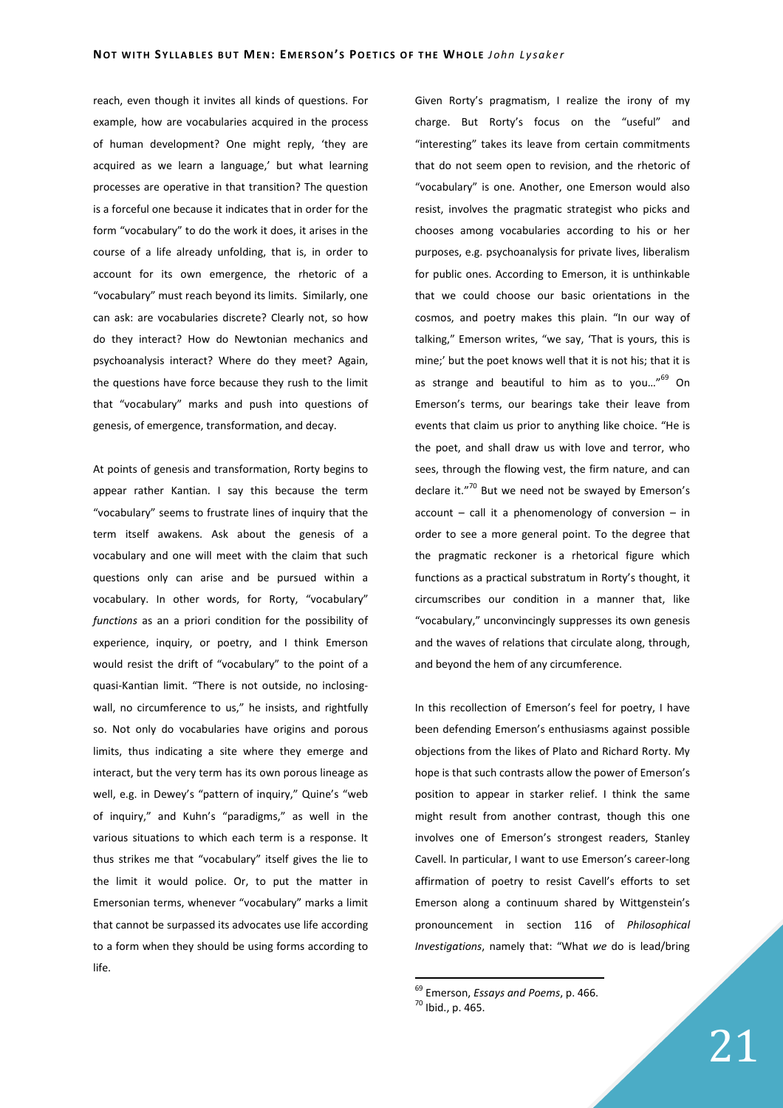reach, even though it invites all kinds of questions. For example, how are vocabularies acquired in the process of human development? One might reply, 'they are acquired as we learn a language,' but what learning processes are operative in that transition? The question is a forceful one because it indicates that in order for the form "vocabulary" to do the work it does, it arises in the course of a life already unfolding, that is, in order to account for its own emergence, the rhetoric of a "vocabulary" must reach beyond its limits. Similarly, one can ask: are vocabularies discrete? Clearly not, so how do they interact? How do Newtonian mechanics and psychoanalysis interact? Where do they meet? Again, the questions have force because they rush to the limit that "vocabulary" marks and push into questions of genesis, of emergence, transformation, and decay.

At points of genesis and transformation, Rorty begins to appear rather Kantian. I say this because the term "vocabulary" seems to frustrate lines of inquiry that the term itself awakens. Ask about the genesis of a vocabulary and one will meet with the claim that such questions only can arise and be pursued within a vocabulary. In other words, for Rorty, "vocabulary" *functions* as an a priori condition for the possibility of experience, inquiry, or poetry, and I think Emerson would resist the drift of "vocabulary" to the point of a quasi-Kantian limit. "There is not outside, no inclosingwall, no circumference to us," he insists, and rightfully so. Not only do vocabularies have origins and porous limits, thus indicating a site where they emerge and interact, but the very term has its own porous lineage as well, e.g. in Dewey's "pattern of inquiry," Quine's "web of inquiry," and Kuhn's "paradigms," as well in the various situations to which each term is a response. It thus strikes me that "vocabulary" itself gives the lie to the limit it would police. Or, to put the matter in Emersonian terms, whenever "vocabulary" marks a limit that cannot be surpassed its advocates use life according to a form when they should be using forms according to life.

Given Rorty's pragmatism, I realize the irony of my charge. But Rorty's focus on the "useful" and "interesting" takes its leave from certain commitments that do not seem open to revision, and the rhetoric of "vocabulary" is one. Another, one Emerson would also resist, involves the pragmatic strategist who picks and chooses among vocabularies according to his or her purposes, e.g. psychoanalysis for private lives, liberalism for public ones. According to Emerson, it is unthinkable that we could choose our basic orientations in the cosmos, and poetry makes this plain. "In our way of talking," Emerson writes, "we say, 'That is yours, this is mine;' but the poet knows well that it is not his; that it is as strange and beautiful to him as to you..."<sup>69</sup> On Emerson's terms, our bearings take their leave from events that claim us prior to anything like choice. "He is the poet, and shall draw us with love and terror, who sees, through the flowing vest, the firm nature, and can declare it."<sup>70</sup> But we need not be swayed by Emerson's  $account - call$  it a phenomenology of conversion – in order to see a more general point. To the degree that the pragmatic reckoner is a rhetorical figure which functions as a practical substratum in Rorty's thought, it circumscribes our condition in a manner that, like "vocabulary," unconvincingly suppresses its own genesis and the waves of relations that circulate along, through, and beyond the hem of any circumference.

In this recollection of Emerson's feel for poetry, I have been defending Emerson's enthusiasms against possible objections from the likes of Plato and Richard Rorty. My hope is that such contrasts allow the power of Emerson's position to appear in starker relief. I think the same might result from another contrast, though this one involves one of Emerson's strongest readers, Stanley Cavell. In particular, I want to use Emerson's career-long affirmation of poetry to resist Cavell's efforts to set Emerson along a continuum shared by Wittgenstein's pronouncement in section 116 of *Philosophical Investigations*, namely that: "What *we* do is lead/bring

<sup>69</sup> Emerson, *Essays and Poems*, p. 466.

<sup>70</sup> Ibid., p. 465.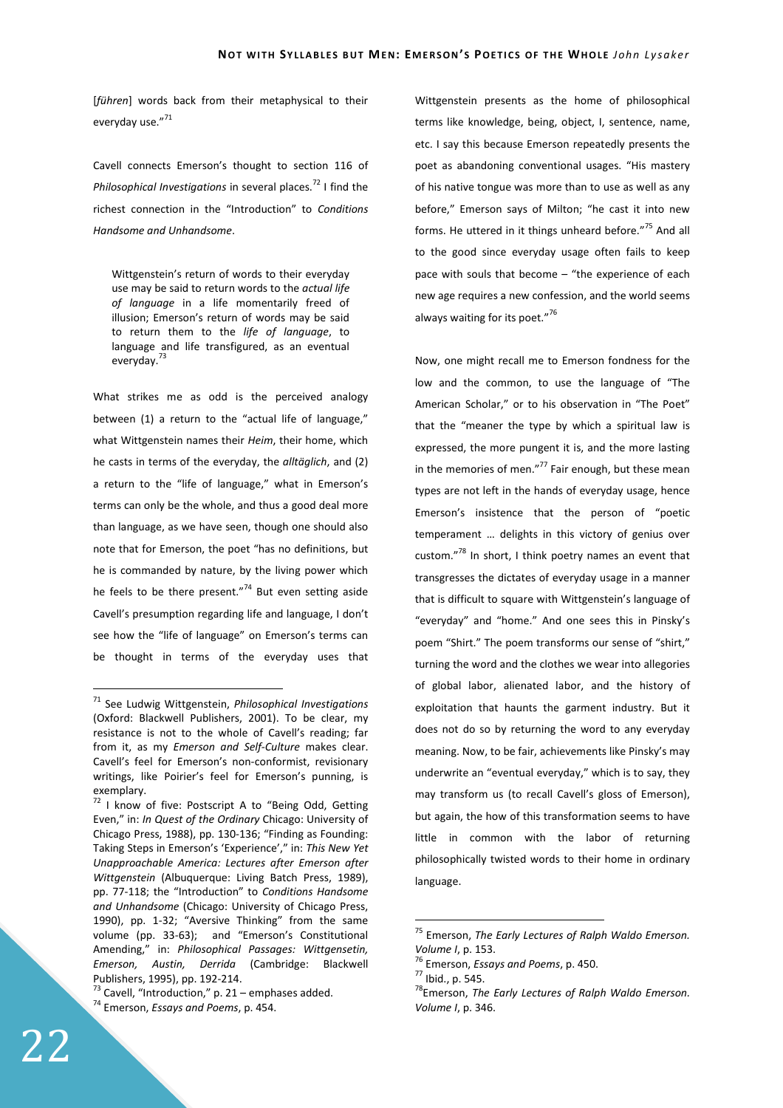[*führen*] words back from their metaphysical to their everyday use."71

Cavell connects Emerson's thought to section 116 of *Philosophical Investigations* in several places.<sup>72</sup> I find the richest connection in the "Introduction" to *Conditions Handsome and Unhandsome*.

Wittgenstein's return of words to their everyday use may be said to return words to the *actual life of language* in a life momentarily freed of illusion; Emerson's return of words may be said to return them to the *life of language*, to language and life transfigured, as an eventual everyday.<sup>73</sup>

What strikes me as odd is the perceived analogy between (1) a return to the "actual life of language," what Wittgenstein names their *Heim*, their home, which he casts in terms of the everyday, the *alltäglich*, and (2) a return to the "life of language," what in Emerson's terms can only be the whole, and thus a good deal more than language, as we have seen, though one should also note that for Emerson, the poet "has no definitions, but he is commanded by nature, by the living power which he feels to be there present."<sup>74</sup> But even setting aside Cavell's presumption regarding life and language, I don't see how the "life of language" on Emerson's terms can be thought in terms of the everyday uses that

Wittgenstein presents as the home of philosophical terms like knowledge, being, object, I, sentence, name, etc. I say this because Emerson repeatedly presents the poet as abandoning conventional usages. "His mastery of his native tongue was more than to use as well as any before," Emerson says of Milton; "he cast it into new forms. He uttered in it things unheard before."<sup>75</sup> And all to the good since everyday usage often fails to keep pace with souls that become – "the experience of each new age requires a new confession, and the world seems always waiting for its poet."<sup>76</sup>

Now, one might recall me to Emerson fondness for the low and the common, to use the language of "The American Scholar," or to his observation in "The Poet" that the "meaner the type by which a spiritual law is expressed, the more pungent it is, and the more lasting in the memories of men." $77$  Fair enough, but these mean types are not left in the hands of everyday usage, hence Emerson's insistence that the person of "poetic temperament … delights in this victory of genius over custom."<sup>78</sup> In short, I think poetry names an event that transgresses the dictates of everyday usage in a manner that is difficult to square with Wittgenstein's language of "everyday" and "home." And one sees this in Pinsky's poem "Shirt." The poem transforms our sense of "shirt," turning the word and the clothes we wear into allegories of global labor, alienated labor, and the history of exploitation that haunts the garment industry. But it does not do so by returning the word to any everyday meaning. Now, to be fair, achievements like Pinsky's may underwrite an "eventual everyday," which is to say, they may transform us (to recall Cavell's gloss of Emerson), but again, the how of this transformation seems to have little in common with the labor of returning philosophically twisted words to their home in ordinary language.

 $\overline{a}$ 

<sup>71</sup> See Ludwig Wittgenstein, *Philosophical Investigations* (Oxford: Blackwell Publishers, 2001). To be clear, my resistance is not to the whole of Cavell's reading; far from it, as my *Emerson and Self-Culture* makes clear. Cavell's feel for Emerson's non-conformist, revisionary writings, like Poirier's feel for Emerson's punning, is exemplary.

<sup>72</sup> I know of five: Postscript A to "Being Odd, Getting Even," in: *In Quest of the Ordinary* Chicago: University of Chicago Press, 1988), pp. 130-136; "Finding as Founding: Taking Steps in Emerson's 'Experience'," in: *This New Yet Unapproachable America: Lectures after Emerson after Wittgenstein* (Albuquerque: Living Batch Press, 1989), pp. 77-118; the "Introduction" to *Conditions Handsome and Unhandsome* (Chicago: University of Chicago Press, 1990), pp. 1-32; "Aversive Thinking" from the same volume (pp. 33-63); and "Emerson's Constitutional Amending," in: *Philosophical Passages: Wittgensetin, Emerson, Austin, Derrida* (Cambridge: Blackwell Publishers, 1995), pp. 192-214.

 $73$  Cavell, "Introduction," p. 21 – emphases added.

<sup>74</sup> Emerson, *Essays and Poems*, p. 454.

<sup>75</sup> Emerson, *The Early Lectures of Ralph Waldo Emerson. Volume I*, p. 153.

<sup>76</sup> Emerson, *Essays and Poems*, p. 450.

<sup>77</sup> Ibid., p. 545.

<sup>78</sup>Emerson, *The Early Lectures of Ralph Waldo Emerson. Volume I*, p. 346.